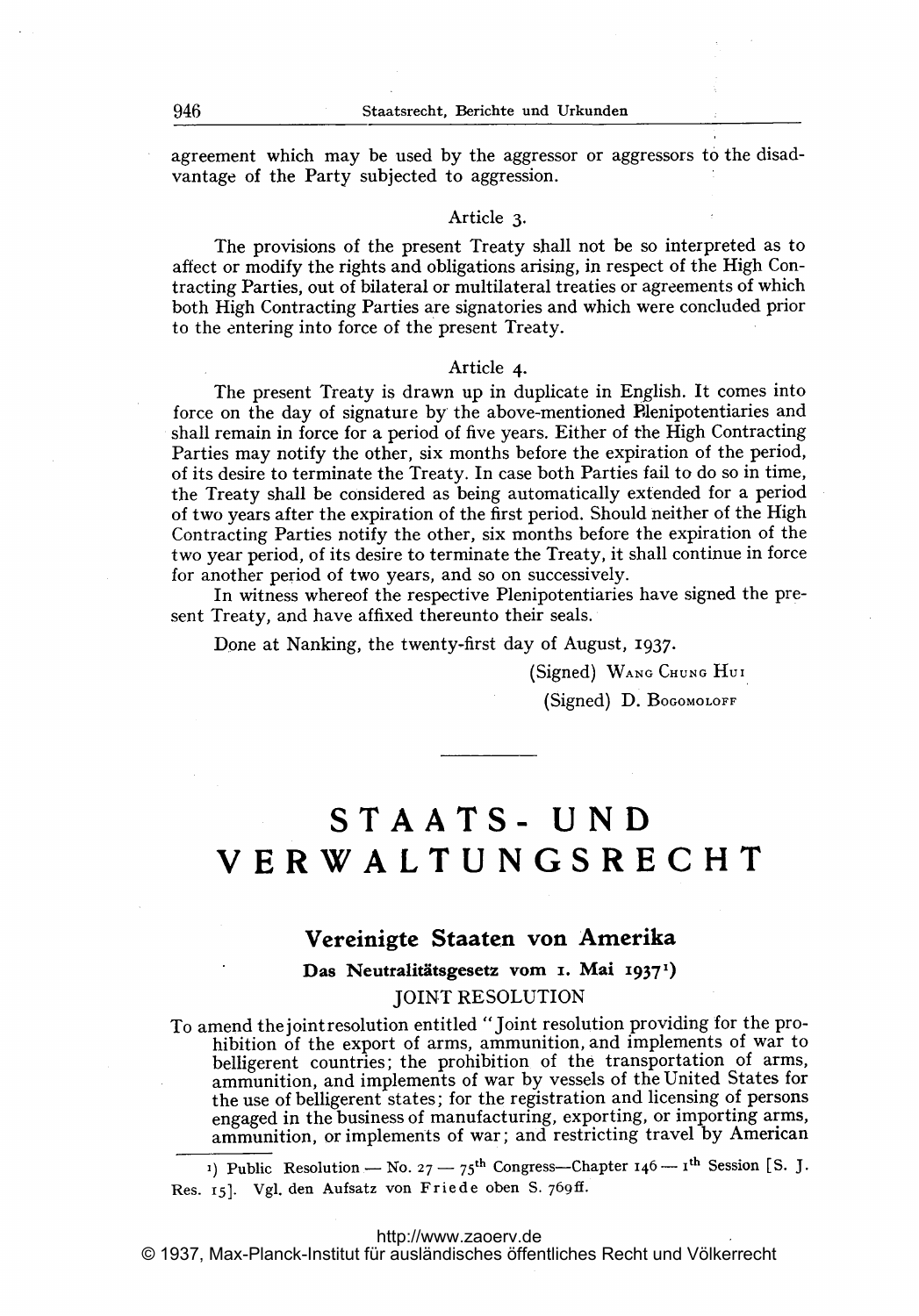agreement which may be used by the aggressor or aggressors to the disadvantage of the Party subjected to aggression.

### Article 3.

The provisions of the present Treaty shall not be so interpreted as to affect or modify the rights and obligations arising, in respect of the High Contracting Parties, out of bilateral or multilateral treaties or agreements of which both High Contracting Parties are signatories and which were concluded prior to the entering into force of the present Treaty.

#### Article 4.

The present Treaty is drawn up in duplicate in English. It comes into force on the day of signature by the above-mentioned Plenipotentiaries and shall remain in force for a period of five years. Either of the High Contracting Parties may notify the other, six months before the expiration of the period, of its desire to terminate the Treaty. In case both Parties fail to do so in time, the Treaty shall be considered as being automatically extended for a period of two years after the expiration of the first period. Should neither of the High Contracting Parties notify the other, six months before the expiration of the two year period, of its desire to terminate the Treaty, it shall continue in force for another period of two years, and so on successively.

In witness whereof the respective Plenipotentiaries have signed the present Treaty, and have affixed thereunto their seals.

Done at Nanking, the twenty-first day of August, 1937.

(Signed) WANG CHUNG HUI (Signed) D. BOGOMOLOFF

# STAATS- UND V <sup>E</sup> <sup>R</sup> W A <sup>L</sup> <sup>T</sup> <sup>U</sup> N G <sup>S</sup> R <sup>E</sup> C H <sup>T</sup>

# Vereinigte Staaten von Amerika

Das Neutralitätsgesetz vom i. Mai 1937')

JOINT RESOLUTION

To amend the joint resolution entitled "Joint resolution providing for the prohibition of the export of arms, ammunition, and implements of war to belligerent countries; the prohibition of the transportation of arms, ammunition, and implements of war by vessels of the United States for the use of belligerent states; for the registration and licensing of persons engaged in the business of manufacturing, exporting, or importing arms, ammunition, or implements of war; and restricting travel by American

<sup>1</sup>) Public Resolution — No. 27 — 75<sup>th</sup> Congress—Chapter 146 — 1<sup>th</sup> Session [S. J Res. 151. Vgl. den Aufsatz von Friede oben S. 769ff.

#### <http://www.zaoerv.de>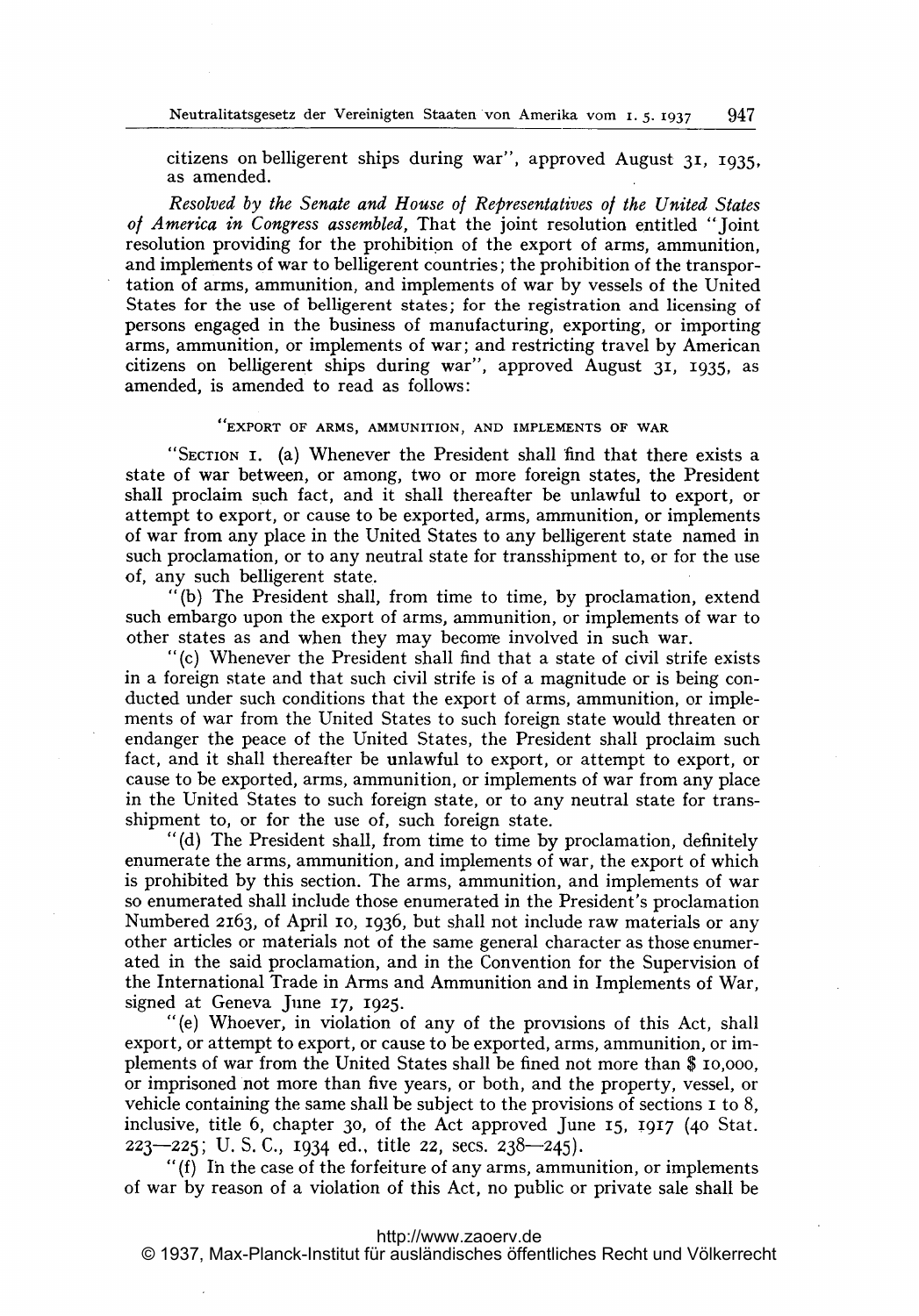citizens on belligerent ships during war", approved August 31, 1935, as amended.

Resolved by the Senate and House of Representatives of the United States of America in Congress assembled, That the joint resolution entitled "Joint" resolution providing for the prohibition of the export of arms, ammunition, and implements of war to belligerent countries; the prohibition of the transportation of arms, ammunition, and implements of war by vessels of the United States for the use of belligerent states; for the registration and licensing of persons engaged in the business of manufacturing, exporting, or importing arms, ammunition, or implements of war; and restricting travel by American citizens on belligerent ships during war", approved August 31, 1935, as amended, is amended to read as follows:

# 11 EXPORT OF ARMS, AMMUNITION, AND IMPLEMENTS OF WAR

"SECTION I. (a) Whenever the President shall 'find that there exists a state of war between, or among, two or more foreign states, the President shall proclaim such fact, and it shall thereafter be unlawful to export, or attempt to export, or cause to be exported, arms, ammunition, or implements of war from any place in the United States to any belligerent state named in such proclamation, or to any neutral state for transshipment to, or for the use of, any such belligerent state.

" (b) The President shall, from time to time, by proclamation, extend such embargo upon the export of arms, ammunition, or implements of war to other states as and when they may become involved in such war.

" (c) Whenever the President shall find that a state of civil strife exists in a foreign state and that such civil strife is of a magnitude or is being conducted under such conditions that the export of arms, ammunition, or imple ments of war from the United States to such foreign state would threaten or endanger the peace of the United States, the President shall proclaim such fact, and it shall thereafter be unlawful to export, or attempt to export, or cause to be exported, arms, ammunition, or implements of war from any place in the United States to such foreign state, or to any neutral state for transshipment to, or for the use of, such foreign state.

"(d) The President shall, from time to time by proclamation, definitely enumerate the arms, ammunition, and implements of war, the export of which is prohibited by this section. The arms, ammunition, and implements of war so enumerated shall include those enumerated in the President's proclamation Numbered 2163, of April io, 1936, but shall not include raw materials or any other articles or materials not of the same general character as those enumerated in the said proclamation, and in the Convention for the Supervision of the International Trade in Arms and Ammunition and in Implements of War, signed at Geneva June 17, 1925.

"(e) Whoever, in violation of any of the provisions of this Act, shall export, or attempt to export, or cause to be exported, arms, ammunition, or implements of war from the United States shall be fined not more than \$ io,ooo, or imprisoned not more than five years, or both, and the property, vessel, or vehicle containing the same shall be subject to the provisions of sections  $\bar{r}$  to  $\bar{\theta}$ , inclusive, title 6, chapter 30, of the Act approved June 15, T917 (40 Stat.  $223 - 225$ ; U. S. C., 1934 ed., title 22, secs. 238-245).

 $\cdot$  (f) In the case of the forfeiture of any arms, ammunition, or implements of war by reason of a violation of this Act, no public or private sale shall be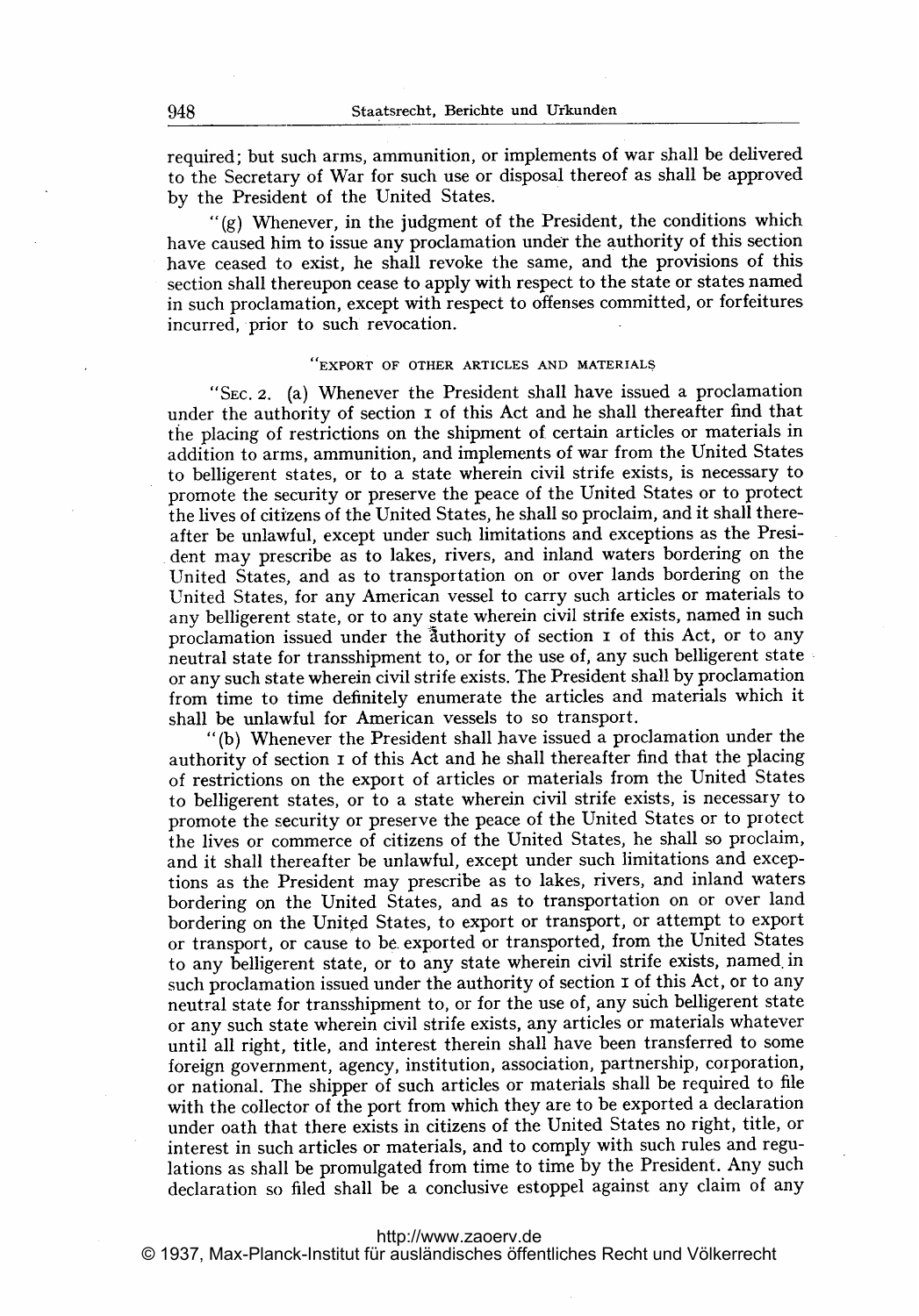required; but such arms, ammunition, or implements of war shall be delivered to the Secretary of War for such use or disposal thereof as shall be approved by the President of the United States.

" (g) Whenever, in the judgment of the President, the conditions which have caused him to issue any proclamation under the authority of this section have ceased to exist, he shall revoke the same, and the provisions of this section shall thereupon cease to apply with respect to the state or states named in such proclamation, except with respect to offenses committed, or forfeitures incurred, prior to such revocation.

## "EXPORT OF OTHER ARTICLES AND MATERIALS

"SEC. 2. (a) Whenever the President shall have issued a proclamation under the authority of section I of this Act and he shall thereafter find that the placing of restrictions on the shipment of certain articles or materials in addition to arms, ammunition, and implements of war from the United States to belligerent states, or to a state wherein civil strife exists, is necessary to promote the security or preserve the peace of the United States or to protect the lives of citizens of the United States, he shall so proclaim, and it shall thereafter be unlawful, except under such limitations and exceptions as the President may prescribe as to lakes, rivers, and inland waters bordering on the United States, and as to transportation on or over lands bordering on the United States, for any American vessel to carry such articles or materials to any belligerent state, or to any state wherein civil strife exists, named in such proclamation issued under the authority of section I of this Act, or to any neutral state for transshipment to, or for the use of, any such belligerent state or any such state wherein civil strife exists. The President shall by proclamation from time to time definitely enumerate the articles and materials which it shall be unlawful for American vessels to so transport.

" (b) Whenever the President shall have issued a proclamation under the authority of section I of this Act and he shall thereafter find that the placing of restrictions on the export of articles or materials from the United States to belligerent states, or to a state wherein civil strife exists, is necessary to promote the security or preserve the peace of the United States or to protect the lives or commerce of citizens of the United States, he shall so proclaim, and it shall thereafter be unlawful, except under such limitations and exceptions as the President may prescribe as to lakes, rivers, and inland waters bordering on the United States, and as to transportation on or over land bordering on the United States, to export or transport, or attempt to export or transport, or cause to be, exported or transported, from the United States to any belligerent state, or to any state wherein civil strife exists, named. in such proclamation issued under the authority of section I of this Act, or to any neutral state for transshipment to, or for the use of, any such belligerent state or any such state wherein civil strife exists, any articles or materials whatever until all right, title, and interest therein shall have been transferred to some foreign government, agency, institution, association, partnership, corporation, or national. The shipper of such articles or materials shall be required to file with the collector of the port from which they are to be exported a declaration under oath that there exists in citizens of the United States no right, title, or interest in such articles or materials, and to comply with such rules and regulations as shall be promulgated from time to time by the President. Any such declaration so filed shall be a conclusive estoppel against any claim of any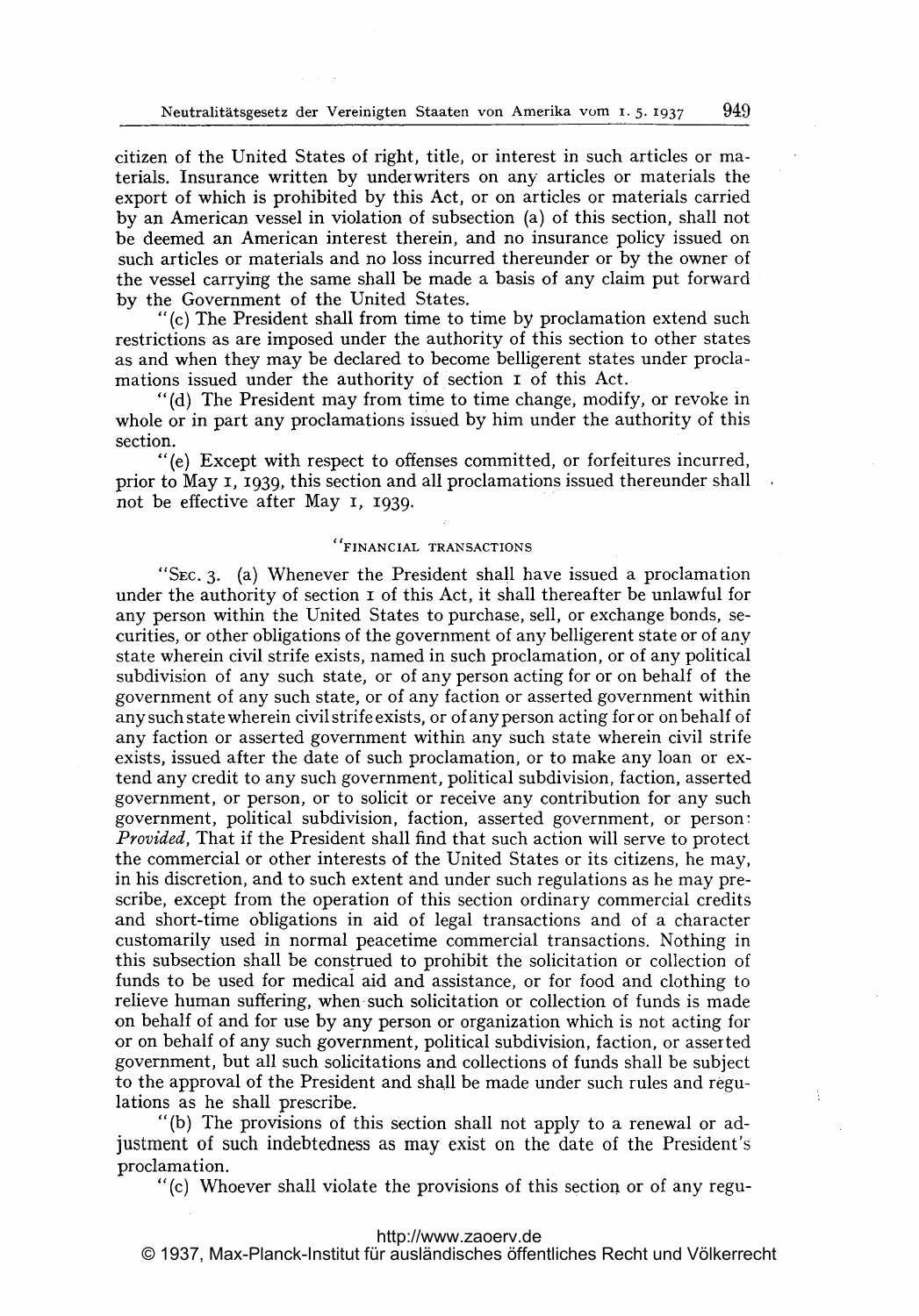citizen of the United States of right, title, or interest in such articles or materials. Insurance written by underwriters on any articles or materials the export of which is prohibited by this Act, or on articles or materials carried by an American vessel in violation of subsection (a) of this section, shall not be deemed an American interest therein, and no insurance policy issued on such articles or materials and no loss incurred thereunder or by the owner of the vessel carrying the same shall be made <sup>a</sup> basis of any claim put forward by the Government of the United States.

" (c) The President shall from time to time by proclamation extend such restrictions as are imposed under the authority of this section to other states as and when they may be declared to become belligerent states under proclamations issued under the authority of section I of this Act.

"(d) The President may from time to time change, modify, or revoke in whole or in part any proclamations issued by him under the authority of this section.

"(e) Except with respect to offenses committed, or forfeitures incurred, prior to May 1, 1939, this section and all proclamations issued thereunder shall not be effective after May 1, 1939.

# FINANCIAL TRANSACTIONS

"SEC. 3. (a) Whenever the President shall have issued a proclamation under the authority of section  $\bar{x}$  of this Act, it shall thereafter be unlawful for any person within the United States to purchase, sell, or exchange bonds, securities, or other obligations of the government of any belligerent state or of any state wherein civil strife exists, named in such proclamation, or of any political subdivision of any such state, or of any person acting for or on behalf of the government of any such state, or of any faction or asserted government within any such state wherein civil strife exists, or of any person acting for or on behalf of any faction or asserted government within any such state wherein civil strife exists, issued after the date of such proclamation, or to make any loan or extend any credit to any such government, political subdivision, faction, asserted government, or person, or to solicit or receive any contribution for any such government, political subdivision, faction, asserted government, or person: Provided, That if the President shall find that such action will serve to protect the commercial or other interests of the United States or its citizens, he may, in his discretion, and to such extent and under such regulations as he may prescribe, except from the operation of this section ordinary commercial credits and short-time obligations in aid of legal transactions and of a character customarily used in normal peacetime commercial transactions. Nothing in this subsection shall be construed to prohibit the solicitation or collection of funds to be used for medical aid and assistance, or for food and clothing to relieve human suffering, when-such solicitation or collection of funds is made on behalf of and for use by any person or organization which is not acting for or on behalf of any such government, political subdivision, faction, or asserted government, but all such solicitations and collections of funds shall be subject to the approval of the President and shall be made under such rules and regulations as he shall prescribe.

" (b) The provisions of this section shall not apply to a renewal or adjustment of such indebtedness as may exist on the date of the President's proclamation.

"(c) Whoever shall violate the provisions of this section or of any regu-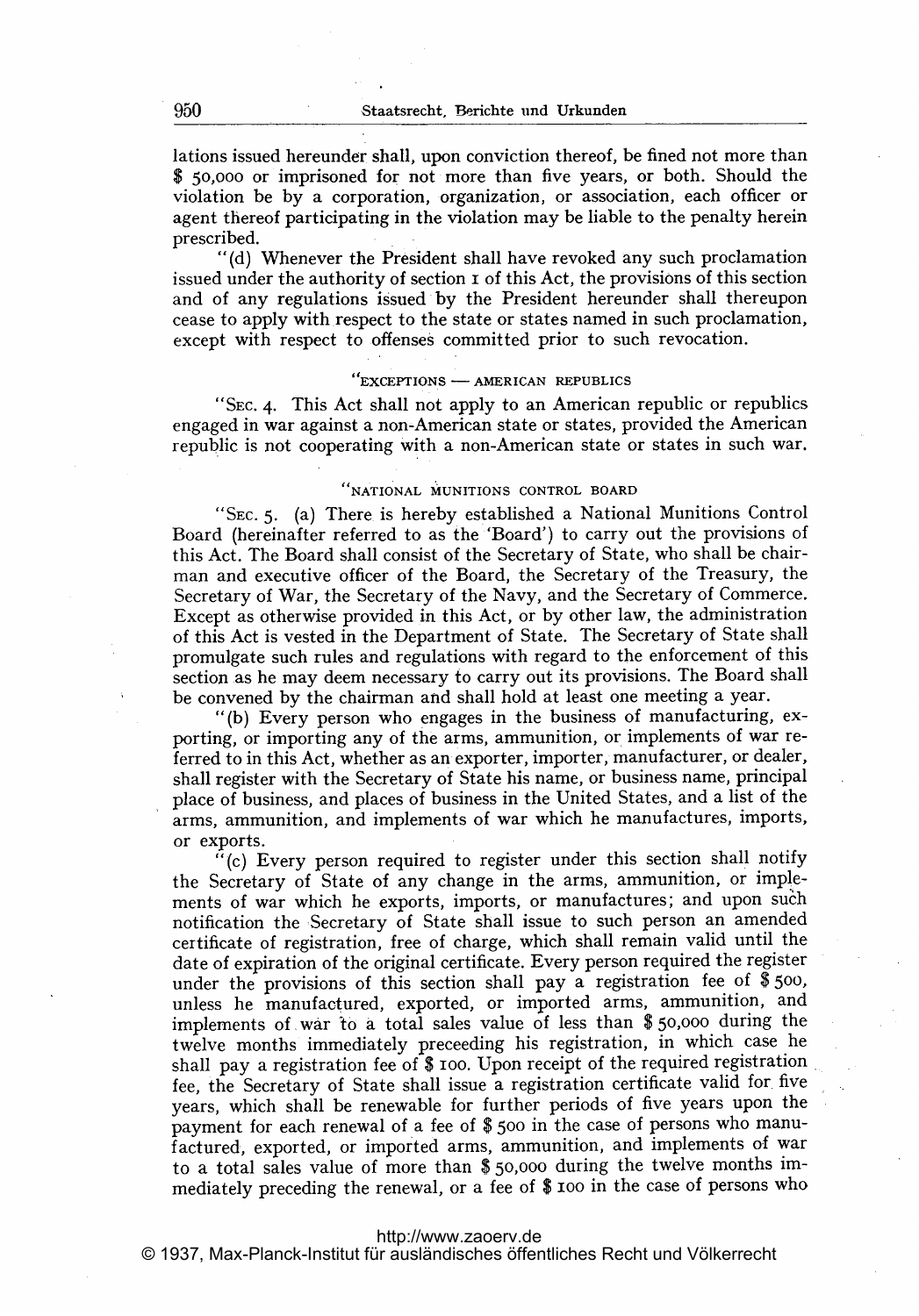lations issued hereunder shall, upon conviction thereof, be fined not more than \$ 50,000 or imprisoned for not more than five years, or both. Should the violation be by a corporation, organization, or association, each officer or agent thereof participating in the violation may be liable to the penalty herein prescribed.

(d) Whenever the President shall have revoked any such proclamation issued under the authority of section I of this Act, the provisions of this section and of any regulations issued by the President hereunder shall thereupon cease to apply with respect to the state or states named in such proclamation, except with respect to offenses committed prior to such revocation.

#### "EXCEPTIONS - AMERICAN REPUBLICS

"SEC. 4. This Act shall not apply to an American republic or republics engaged in war against a non-American state or states, provided the American republic is not cooperating with a non-American state or states in such war.

# NATIONAL MUNITIONS CONTROL BOARD

"SEC. 5. (a) There is hereby established a National Munitions Control Board (hereinafter referred to as the 'Board') to carry out the provisions of this Act. The Board shall consist of the Secretary of State, who shall be chairman and executive officer of the Board, the Secretary of the Treasury, the Secretary of War, the Secretary of the Navy, and the Secretary of Commerce. Except as otherwise provided in this Act, or by other law, the administration of this Act is vested in the Department of State. The Secretary of State shall promulgate such rules and regulations with regard to the enforcement of this section as he may deem necessary to carry out its provisions. The Board shall be convened by the chairman and shall hold at least one meeting a year.

" (b) Every person who engages in the business of manufacturing, exporting, or importing any of the arms, ammunition, or implements of war referred to in this Act, whether as an exporter, importer, manufacturer, or dealer, shall register with the Secretary of State his name, or business name, principal place of business, and places of business in the United States, and <sup>a</sup> list of the arms, ammunition, and implements of war which he manufactures, imports, or exports.

"(c) Every person required to register under this section shall notify the Secretary of State of any change in the arms, ammunition, or implements of war which he exports, imports, or manufactures; and upon such notification the Secretary of State shall issue to such person an amended certificate of registration, free of charge, which shall remain valid until the date of expiration of the original certificate. Every person required the register under the provisions of this section shall pay a registration fee of \$ 500, unless he manufactured, exported, or imported arms, ammunition, and implements of war to a total sales value of less than  $$50,000$  during the twelve months immediately preceeding his registration, in which case he shall pay <sup>a</sup> registration fee of \$ ioo. Upon receipt of the required registration fee, the Secretary of State shall issue <sup>a</sup> registration certificate valid for five years, which shall be renewable for further periods of five years upon the payment for each renewal of <sup>a</sup> fee of \$ <sup>500</sup> in the case of persons who manufactured, exported, or imported arms, ammunition, and implements of war to <sup>a</sup> total sales value of more than \$ 5o,ooo during the twelve months immediately preceding the renewal, or <sup>a</sup> fee of \$ ioo in the case of persons who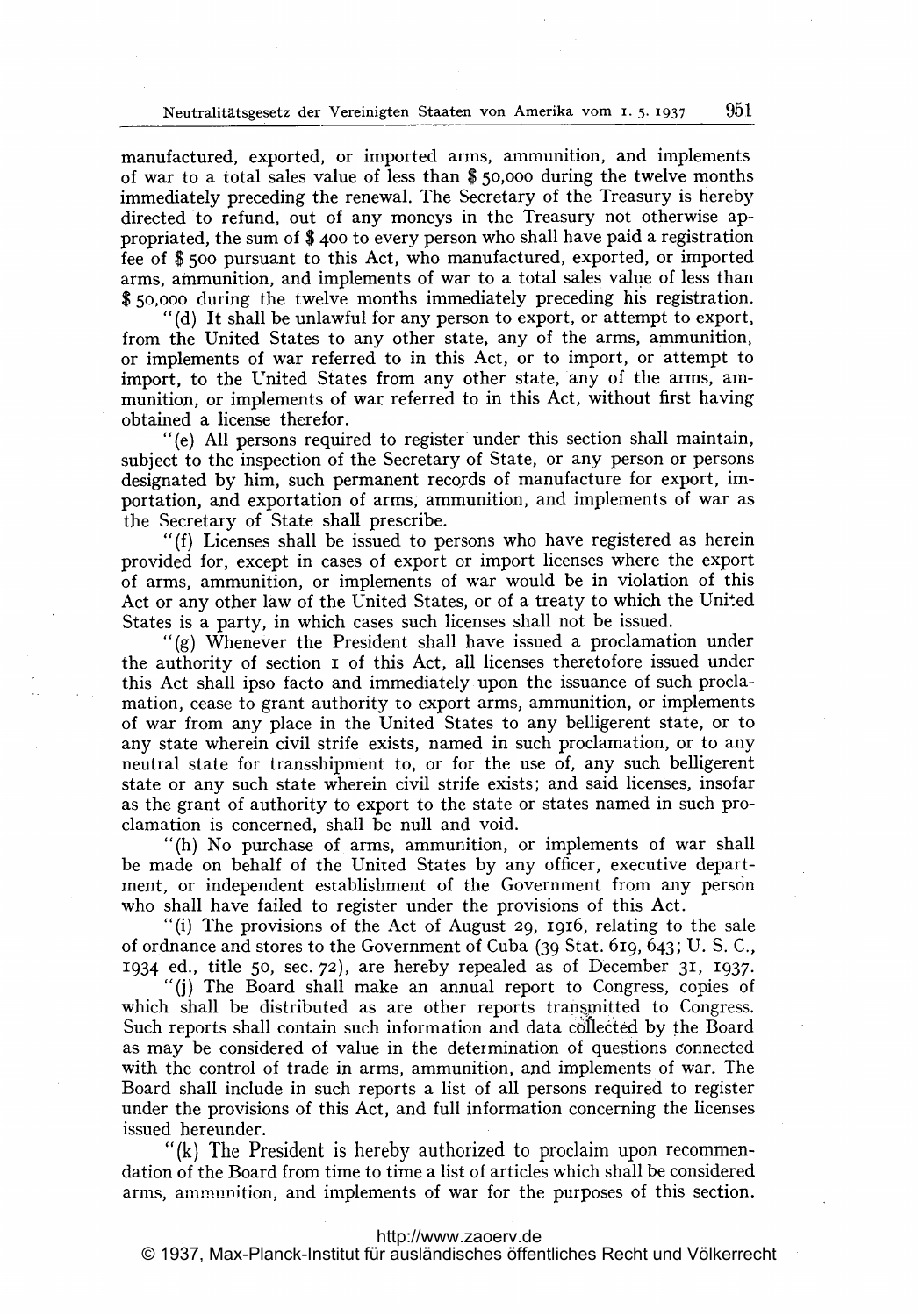manufactured, exported, or imported arms, ammunition, and implements of war to <sup>a</sup> total sales value of less than \$ 5o,ooo during the twelve months immediately preceding the renewal. The Secretary of the Treasury is hereby directed to refund, out of any moneys in the Treasury not otherwise appropriated, the sum of  $\frac{2}{3}$  400 to every person who shall have paid a registration fee of \$ <sup>500</sup> pursuant to this Act, who manufactured, exported, or imported arms, ammunition, and implements of war to a total sales value of less than 8 50,ooo during the twelve months immediately preceding his registration.

" (d) It shall be unlawful for any person to export, or attempt to export, from the United States to any other state, any of the arms, ammunition, or implements of war referred to in this Act, or to import, or attempt to import, to the United States from any other state, any of the arms, ammunition, or implements of war referred to in this Act, without first having obtained a license therefor.

"(e) All persons required to register'under this section shall maintain, subject to the inspection of the Secretary of State, or any person or persons designated by him, such permanent records of manufacture for export, importation, and exportation of arms, ammunition, and implements of war as the Secretary of State shall prescribe.

"(f) Licenses shall be issued to persons who have registered as herein provided for, except in cases of export or import licenses where the export of arms, ammunition, or implements of war would be in violation of this Act or any other law of the United States, or of <sup>a</sup> treaty to which the United States is a party, in which cases such licenses shall not be issued.

"(g) Whenever the President shall have issued a proclamation under the authority of section <sup>i</sup> of this Act, all licenses theretofore issued under this Act shall ipso facto and immediately upon the issuance of such proclamation, cease to grant authority to export arms, ammunition, or implements of war from any place in the United States to any belligerent state, or to any state wherein civil strife exists, named in such proclamation, or to any neutral state for transshipment to, or for the use of, any such belligerent state or any such state wherein civil strife exists; and said licenses, insofar as the grant of authority to export to the state or states named in such proclamation is concerned, shall be null and void.

"(h) No purchase of arms, ammunition, or implements of war shall be made on behalf of the United States by any officer, executive department, or independent establishment of the Government from any person who shall have failed to register under the provisions of this Act.

"(i) The provisions of the Act of August 29, 1916, relating to the sale of ordnance and stores to the Government of Cuba (39 Stat. 61g, 643; U. S. C., 1934 ed., title 50, sec- 72), are hereby repealed as of December 31, 1937.

"(j) The Board shall make an annual report to Congress, copies of which shall be distributed as are other reports transmitted to Congress. Such reports shall contain such information and data collected by the Board as may be considered of value in the determination of questions connected with the control of trade in arms, ammunition, and implements of war. The Board shall include in such reports a list of all persons required to register under the provisions of this Act, and full information concerning the licenses issued hereunder.

"(k) The President is hereby authorized to proclaim upon recommendation of the Board from time to time a list of articles which shall be considered arms, ammunition, and implements of war for the purposes of this section.

#### <http://www.zaoerv.de>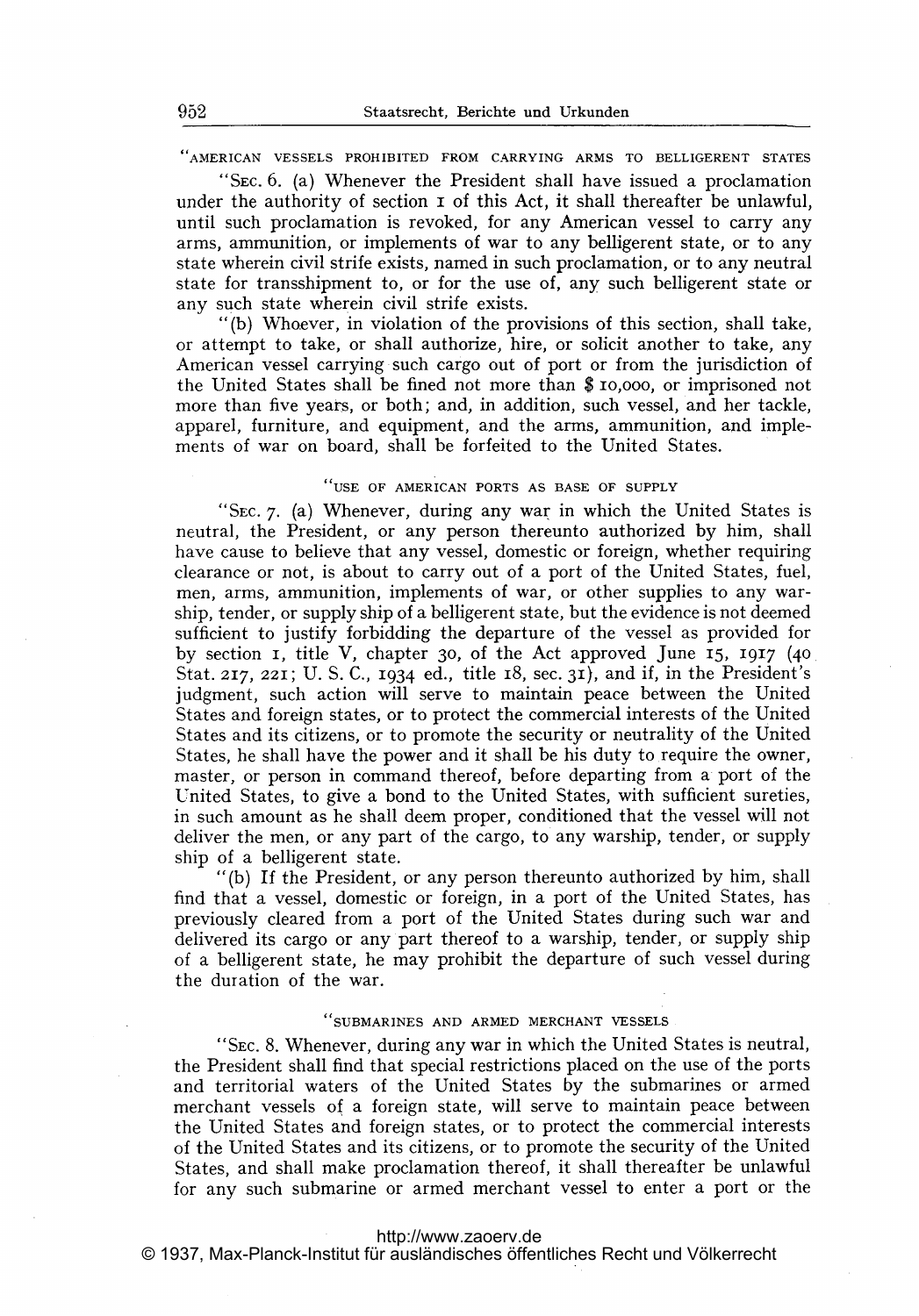AMERICAN VESSELS PROHIBITED FROM CARRYING ARMS TO BELLIGERENT STATES

"SEC. 6. (a) Whenever the President shall have issued a proclamation under the authority of section  $\bar{x}$  of this Act, it shall thereafter be unlawful, until such proclamation is revoked, for any American vessel to carry any arms, ammunition, or implements of war to any belligerent state, or to any state wherein civil strife exists, named in such proclamation, or to any neutral state for transshipment to, or for the use of, any such belligerent state or any such state wherein civil strife exists.

"(b) Whoever, in violation of the provisions of this section, shall take, or attempt to take, or shall authorize, hire, or solicit another to take, any American vessel carrying such cargo out of port or from the jurisdiction of the United States shall be fined not more than \$ io,ooo, or imprisoned not more than five years, or both; and, in addition, such vessel, and her tackle, apparel, furniture, and equipment, and the arms, ammunition, and implements of war on board, shall be forfeited to the United States.

# 11 USE OF AMERICAN PORTS AS BASE OF SUPPLY

"SEC. 7. (a) Whenever, during any war in which the United States is neutral, the President, or any person thereunto authorized by him, shall have cause to believe that any vessel, domestic or foreign, whether requiring clearance or not, is about to carry out of a port of the United States, fuel, men, arms, ammunition, implements of war, or other supplies to any warship, tender, or supply ship of a belligerent state, but the evidence is not deemed sufficient to justify forbidding the departure of the vessel as provided for by section i, title V, chapter 30, of the Act approved June 15, 1917 (40 Stat. 217, 221; U. S. C., 1934 ed., title 18, sec. 31), and if, in the President's judgment, such action will serve to maintain peace between the United States and foreign states, or to protect the commercial interests of the United States and its citizens, or to promote the security or neutrality of the United States, he shall have the power and it shall be his duty to require the owner, master, or person in command thereof, before departing from <sup>a</sup> port of the United States, to give a bond to the United States, with sufficient sureties, in such amount as be shall deem proper, conditioned that the vessel will not deliver the men, or any part of the cargo, to any warship, tender, or supply ship of a belligerent state.

"(b) If the President, or any person thereunto authorized by him, shall find that a vessel, domestic or foreign, in a port of the United States, has previously cleared from a port of the United States during such war and delivered its cargo or any part thereof to a warship, tender, or supply ship of <sup>a</sup> belligerent state, he may prohibit the departure of such vessel during the duration of the war.

### 11 SUBMARINES AND ARMED MERCHANT VESSELS

"SEC. 8. Whenever, during any war in which the United States is neutral, the President shall find that special restrictions placed on the use of the ports and territorial waters of the United States by the submarines or armed merchant vessels of <sup>a</sup> foreign state, will serve to maintain peace between the United States and foreign states, or to protect the commercial interests of the United States and its citizens, or to promote the security of the United States, and shall make proclamation thereof, it shall thereafter be unlawful for any such submarine or armed merchant vessel to enter <sup>a</sup> port or the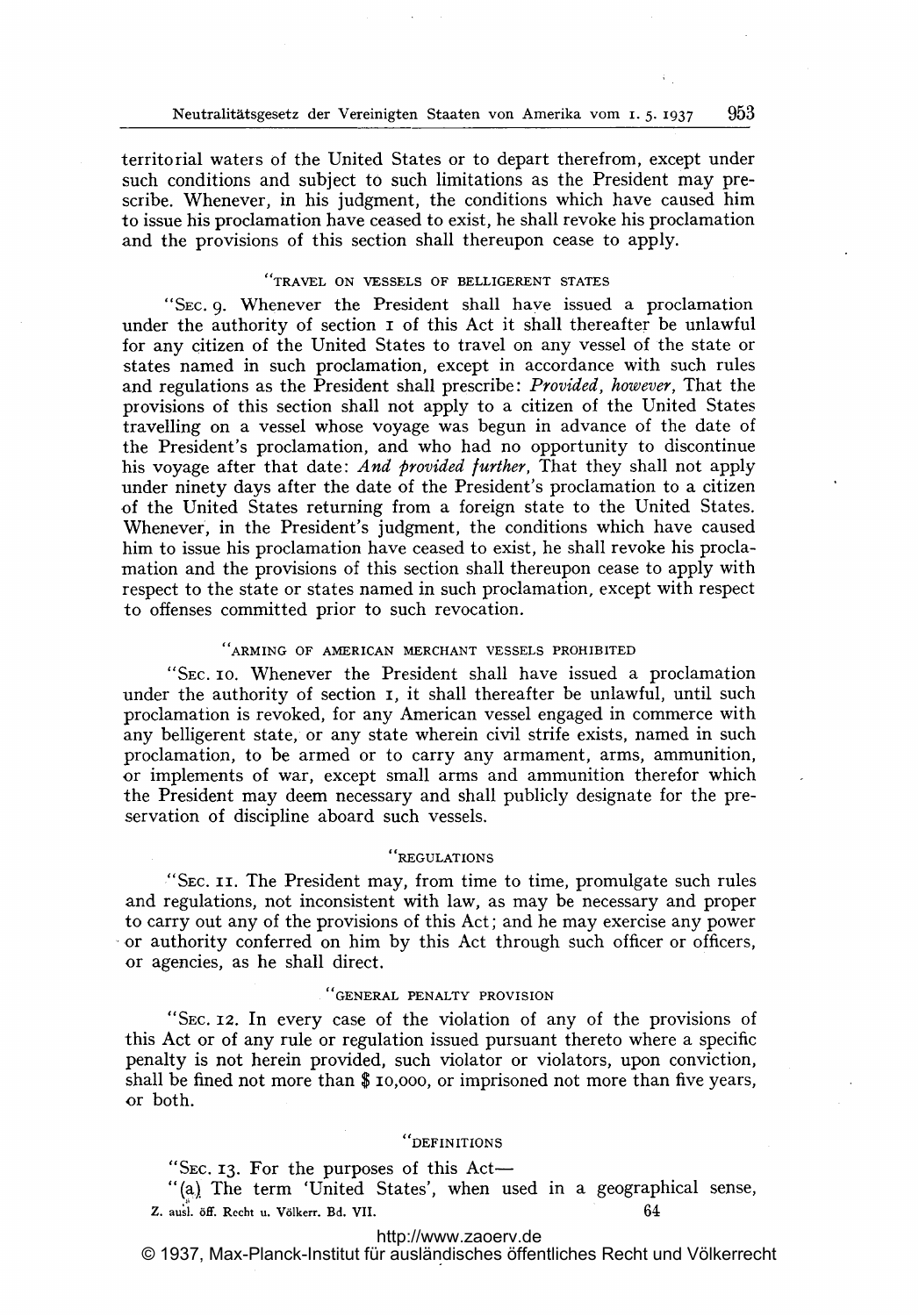territorial waters of the United States or to depart therefrom, except under such conditions and subject to such limitations as the President may prescribe. Whenever, in his judgment, the conditions which have caused him to issue his proclamation have ceased to exist, he shall revoke his proclamation and the provisions of this section shall thereupon cease to apply.

#### 11 TRAVEL ON VESSELS OF BELLIGERENT STATES

"SEC. 9. Whenever the President shall have issued a proclamation under the authority of section  $r$  of this Act it shall thereafter be unlawful for any citizen of the United States to travel on any vessel of the state or states named in such proclamation, except in accordance with such rules and regulations as the President shall prescribe: Provided, however, That the provisions of this section shall not apply to a citizen of the United States travelling on a vessel whose voyage was begun in advance of the date of the President's proclamation, and who had no opportunity to discontinue his voyage after that date: And provided further, That they shall not apply under ninety days after the date of the President's proclamation to a citizen of the United States returning from a foreign state to the United States. Whenever, in the President's judgment, the conditions which have caused him to issue his proclamation have ceased to exist, he shall revoke his proclamation and the provisions of this section shall thereupon cease to apply with respect to the state or states named in such proclamation, except with respect to offenses committed prior to such revocation.

# 11 ARMING OF AMERICAN MERCHANT VESSELS PROHIBITED

"SEC. 10. Whenever the President shall have issued a proclamation under the authority of section I, it shall thereafter be unlawful, until such proclamation is revoked, for any American vessel engaged in commerce with any belligerent state, or any state wherein civil strife exists, named in such proclamation, to be armed or to carry any armament, arms, ammunition, or implements of war, except small arms and ammunition therefor which the President may deem necessary and shall publicly designate for the preservation of discipline aboard such vessels.

## "REGULATIONS

SEC. ii. The President may, from time to time, promulgate such rules and regulations, not inconsistent with law, as may be necessary and proper to carry out any of the provisions of this Act; and he may exercise any power or authority conferred on him by this Act through such officer or officers, or agencies, as he shall direct.

#### 11 GENERAL PENALTY PROVISION

"SEC. 12. In every case of the violation of any of the provisions of this Act or of any rule or regulation issued pursuant thereto where <sup>a</sup> specific penalty is not herein provided, such violator or violators, upon conviction, shall be fined not more than \$ io,ooo, or imprisoned not more than five years, or both.

#### DEFINITIONS

"SEC. 13. For the purposes of this  $Act-$ 

"(a) The term 'United States', when used in a geographical sense,  $Z.$  ausl.  $\delta$ ff. Recht u. Völkerr. Bd. VII.  $64$ 

# <http://www.zaoerv.de>